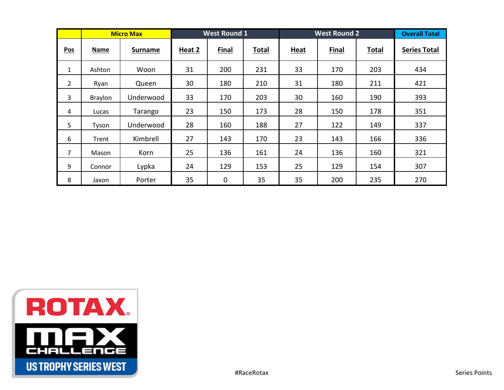|                |                | <b>Micro Max</b> |        | <b>West Round 1</b> |              | <b>West Round 2</b> |       |              | <b>Overall Total</b> |
|----------------|----------------|------------------|--------|---------------------|--------------|---------------------|-------|--------------|----------------------|
| Pos            | <b>Name</b>    | <b>Surname</b>   | Heat 2 | <b>Final</b>        | <b>Total</b> | <b>Heat</b>         | Final | <b>Total</b> | <b>Series Total</b>  |
| $\mathbf{1}$   | Ashton         | Woon             | 31     | 200                 | 231          | 33                  | 170   | 203          | 434                  |
| $\overline{2}$ | Ryan           | Queen            | 30     | 180                 | 210          | 31                  | 180   | 211          | 421                  |
| 3              | <b>Braylon</b> | Underwood        | 33     | 170                 | 203          | 30                  | 160   | 190          | 393                  |
| 4              | Lucas          | Tarango          | 23     | 150                 | 173          | 28                  | 150   | 178          | 351                  |
| 5              | Tyson          | Underwood        | 28     | 160                 | 188          | 27                  | 122   | 149          | 337                  |
| 6              | Trent          | Kimbrell         | 27     | 143                 | 170          | 23                  | 143   | 166          | 336                  |
| 7              | Mason          | Korn             | 25     | 136                 | 161          | 24                  | 136   | 160          | 321                  |
| 9              | Connor         | Lypka            | 24     | 129                 | 153          | 25                  | 129   | 154          | 307                  |
| 8              | Jaxon          | Porter           | 35     | $\mathbf 0$         | 35           | 35                  | 200   | 235          | 270                  |

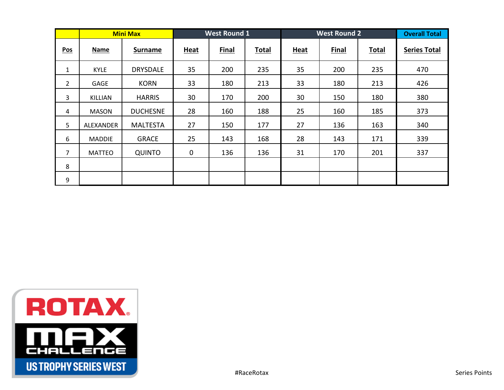|                |               | <b>Mini Max</b> |             | <b>West Round 1</b> |              | <b>West Round 2</b> | <b>Overall Total</b> |              |                     |
|----------------|---------------|-----------------|-------------|---------------------|--------------|---------------------|----------------------|--------------|---------------------|
| Pos            | <b>Name</b>   | <b>Surname</b>  | <b>Heat</b> | <b>Final</b>        | <b>Total</b> | <b>Heat</b>         | Final                | <b>Total</b> | <b>Series Total</b> |
| $\mathbf{1}$   | <b>KYLE</b>   | <b>DRYSDALE</b> | 35          | 200                 | 235          | 35                  | 200                  | 235          | 470                 |
| $\overline{2}$ | <b>GAGE</b>   | <b>KORN</b>     | 33          | 180                 | 213          | 33                  | 180                  | 213          | 426                 |
| 3              | KILLIAN       | <b>HARRIS</b>   | 30          | 170                 | 200          | 30                  | 150                  | 180          | 380                 |
| 4              | <b>MASON</b>  | <b>DUCHESNE</b> | 28          | 160                 | 188          | 25                  | 160                  | 185          | 373                 |
| 5              | ALEXANDER     | <b>MALTESTA</b> | 27          | 150                 | 177          | 27                  | 136                  | 163          | 340                 |
| 6              | <b>MADDIE</b> | <b>GRACE</b>    | 25          | 143                 | 168          | 28                  | 143                  | 171          | 339                 |
| 7              | <b>MATTEO</b> | <b>QUINTO</b>   | $\mathbf 0$ | 136                 | 136          | 31                  | 170                  | 201          | 337                 |
| 8              |               |                 |             |                     |              |                     |                      |              |                     |
| 9              |               |                 |             |                     |              |                     |                      |              |                     |

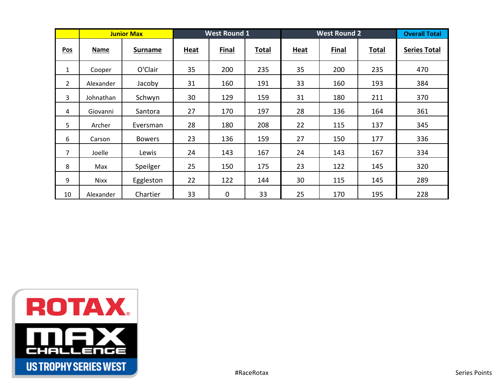|                |             | <b>Junior Max</b> |             | <b>West Round 1</b> |              | <b>West Round 2</b> | <b>Overall Total</b> |              |                     |
|----------------|-------------|-------------------|-------------|---------------------|--------------|---------------------|----------------------|--------------|---------------------|
| Pos            | <b>Name</b> | <b>Surname</b>    | <b>Heat</b> | Final               | <b>Total</b> | <b>Heat</b>         | Final                | <b>Total</b> | <b>Series Total</b> |
| $\mathbf{1}$   | Cooper      | O'Clair           | 35          | 200                 | 235          | 35                  | 200                  | 235          | 470                 |
| $\overline{2}$ | Alexander   | Jacoby            | 31          | 160                 | 191          | 33                  | 160                  | 193          | 384                 |
| 3              | Johnathan   | Schwyn            | 30          | 129                 | 159          | 31                  | 180                  | 211          | 370                 |
| 4              | Giovanni    | Santora           | 27          | 170                 | 197          | 28                  | 136                  | 164          | 361                 |
| 5              | Archer      | Eversman          | 28          | 180                 | 208          | 22                  | 115                  | 137          | 345                 |
| 6              | Carson      | <b>Bowers</b>     | 23          | 136                 | 159          | 27                  | 150                  | 177          | 336                 |
| 7              | Joelle      | Lewis             | 24          | 143                 | 167          | 24                  | 143                  | 167          | 334                 |
| 8              | Max         | Speilger          | 25          | 150                 | 175          | 23                  | 122                  | 145          | 320                 |
| 9              | <b>Nixx</b> | Eggleston         | 22          | 122                 | 144          | 30                  | 115                  | 145          | 289                 |
| 10             | Alexander   | Chartier          | 33          | $\mathbf 0$         | 33           | 25                  | 170                  | 195          | 228                 |

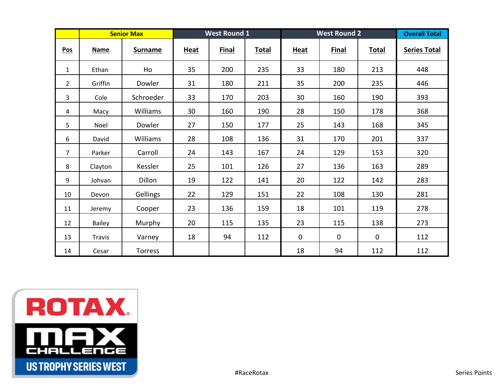|                |               | <b>Senior Max</b> |             | <b>West Round 1</b> |              | <b>West Round 2</b> | <b>Overall Total</b> |              |                     |
|----------------|---------------|-------------------|-------------|---------------------|--------------|---------------------|----------------------|--------------|---------------------|
| Pos            | <b>Name</b>   | <b>Surname</b>    | <b>Heat</b> | <b>Final</b>        | <b>Total</b> | <b>Heat</b>         | <b>Final</b>         | <b>Total</b> | <b>Series Total</b> |
| $\mathbf{1}$   | Ethan         | Ho                | 35          | 200                 | 235          | 33                  | 180                  | 213          | 448                 |
| $\overline{2}$ | Griffin       | Dowler            | 31          | 180                 | 211          | 35                  | 200                  | 235          | 446                 |
| $\mathbf{3}$   | Cole          | Schroeder         | 33          | 170                 | 203          | 30                  | 160                  | 190          | 393                 |
| 4              | Macy          | Williams          | 30          | 160                 | 190          | 28                  | 150                  | 178          | 368                 |
| 5              | Noel          | Dowler            | 27          | 150                 | 177          | 25                  | 143                  | 168          | 345                 |
| 6              | David         | Williams          | 28          | 108                 | 136          | 31                  | 170                  | 201          | 337                 |
| $\overline{7}$ | Parker        | Carroll           | 24          | 143                 | 167          | 24                  | 129                  | 153          | 320                 |
| 8              | Clayton       | Kessler           | 25          | 101                 | 126          | 27                  | 136                  | 163          | 289                 |
| 9              | Johvan        | Dillon            | 19          | 122                 | 141          | 20                  | 122                  | 142          | 283                 |
| 10             | Devon         | Gellings          | 22          | 129                 | 151          | 22                  | 108                  | 130          | 281                 |
| 11             | Jeremy        | Cooper            | 23          | 136                 | 159          | 18                  | 101                  | 119          | 278                 |
| 12             | Bailey        | Murphy            | 20          | 115                 | 135          | 23                  | 115                  | 138          | 273                 |
| 13             | <b>Travis</b> | Varney            | 18          | 94                  | 112          | $\mathbf 0$         | $\mathbf 0$          | $\mathbf 0$  | 112                 |
| 14             | Cesar         | <b>Torress</b>    |             |                     |              | 18                  | 94                   | 112          | 112                 |